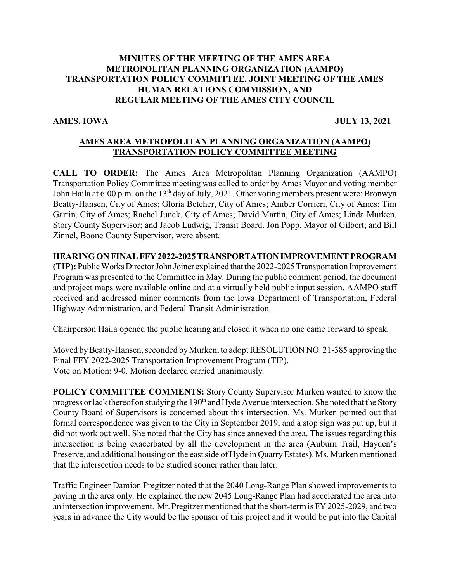### **MINUTES OF THE MEETING OF THE AMES AREA METROPOLITAN PLANNING ORGANIZATION (AAMPO) TRANSPORTATION POLICY COMMITTEE, JOINT MEETING OF THE AMES HUMAN RELATIONS COMMISSION, AND REGULAR MEETING OF THE AMES CITY COUNCIL**

**AMES, IOWA JULY 13, 2021**

# **AMES AREA METROPOLITAN PLANNING ORGANIZATION (AAMPO) TRANSPORTATION POLICY COMMITTEE MEETING**

**CALL TO ORDER:** The Ames Area Metropolitan Planning Organization (AAMPO) Transportation Policy Committee meeting was called to order by Ames Mayor and voting member John Haila at 6:00 p.m. on the 13<sup>th</sup> day of July, 2021. Other voting members present were: Bronwyn Beatty-Hansen, City of Ames; Gloria Betcher, City of Ames; Amber Corrieri, City of Ames; Tim Gartin, City of Ames; Rachel Junck, City of Ames; David Martin, City of Ames; Linda Murken, Story County Supervisor; and Jacob Ludwig, Transit Board. Jon Popp, Mayor of Gilbert; and Bill Zinnel, Boone County Supervisor, were absent.

## **HEARINGON FINAL FFY2022-2025 TRANSPORTATIONIMPROVEMENT PROGRAM**

**(TIP):** PublicWorksDirectorJohn Joiner explained that the 2022-2025 Transportation Improvement Program was presented to the Committee in May. During the public comment period, the document and project maps were available online and at a virtually held public input session. AAMPO staff received and addressed minor comments from the Iowa Department of Transportation, Federal Highway Administration, and Federal Transit Administration.

Chairperson Haila opened the public hearing and closed it when no one came forward to speak.

Moved by Beatty-Hansen, seconded by Murken, to adopt RESOLUTION NO. 21-385 approving the Final FFY 2022-2025 Transportation Improvement Program (TIP). Vote on Motion: 9-0. Motion declared carried unanimously.

**POLICY COMMITTEE COMMENTS:** Story County Supervisor Murken wanted to know the progress or lack thereof on studying the 190<sup>th</sup> and Hyde Avenue intersection. She noted that the Story County Board of Supervisors is concerned about this intersection. Ms. Murken pointed out that formal correspondence was given to the City in September 2019, and a stop sign was put up, but it did not work out well. She noted that the City has since annexed the area. The issues regarding this intersection is being exacerbated by all the development in the area (Auburn Trail, Hayden's Preserve, and additional housing on the east side of Hyde in QuarryEstates). Ms. Murken mentioned that the intersection needs to be studied sooner rather than later.

Traffic Engineer Damion Pregitzer noted that the 2040 Long-Range Plan showed improvements to paving in the area only. He explained the new 2045 Long-Range Plan had accelerated the area into an intersection improvement. Mr. Pregitzer mentioned that the short-term is FY 2025-2029, and two years in advance the City would be the sponsor of this project and it would be put into the Capital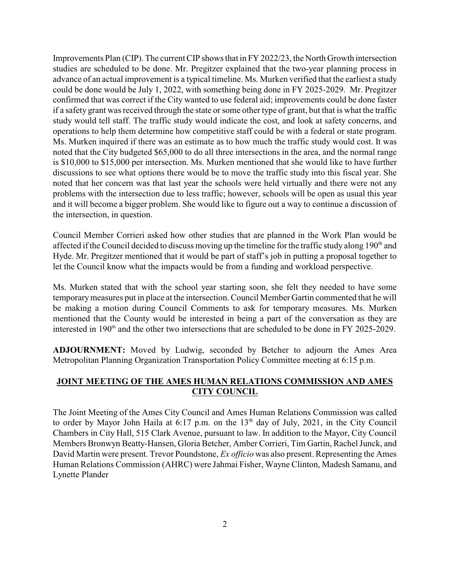Improvements Plan (CIP). The current CIP shows that in FY 2022/23, the North Growth intersection studies are scheduled to be done. Mr. Pregitzer explained that the two-year planning process in advance of an actual improvement is a typical timeline. Ms. Murken verified that the earliest a study could be done would be July 1, 2022, with something being done in FY 2025-2029. Mr. Pregitzer confirmed that was correct if the City wanted to use federal aid; improvements could be done faster if a safety grant was received through the state or some other type of grant, but that is what the traffic study would tell staff. The traffic study would indicate the cost, and look at safety concerns, and operations to help them determine how competitive staff could be with a federal or state program. Ms. Murken inquired if there was an estimate as to how much the traffic study would cost. It was noted that the City budgeted \$65,000 to do all three intersections in the area, and the normal range is \$10,000 to \$15,000 per intersection. Ms. Murken mentioned that she would like to have further discussions to see what options there would be to move the traffic study into this fiscal year. She noted that her concern was that last year the schools were held virtually and there were not any problems with the intersection due to less traffic; however, schools will be open as usual this year and it will become a bigger problem. She would like to figure out a way to continue a discussion of the intersection, in question.

Council Member Corrieri asked how other studies that are planned in the Work Plan would be affected if the Council decided to discuss moving up the timeline for the traffic study along 190<sup>th</sup> and Hyde. Mr. Pregitzer mentioned that it would be part of staff's job in putting a proposal together to let the Council know what the impacts would be from a funding and workload perspective.

Ms. Murken stated that with the school year starting soon, she felt they needed to have some temporarymeasures put in place at the intersection. Council Member Gartin commented that he will be making a motion during Council Comments to ask for temporary measures. Ms. Murken mentioned that the County would be interested in being a part of the conversation as they are interested in  $190<sup>th</sup>$  and the other two intersections that are scheduled to be done in FY 2025-2029.

**ADJOURNMENT:** Moved by Ludwig, seconded by Betcher to adjourn the Ames Area Metropolitan Planning Organization Transportation Policy Committee meeting at 6:15 p.m.

## **JOINT MEETING OF THE AMES HUMAN RELATIONS COMMISSION AND AMES CITY COUNCIL**

The Joint Meeting of the Ames City Council and Ames Human Relations Commission was called to order by Mayor John Haila at 6:17 p.m. on the 13<sup>th</sup> day of July, 2021, in the City Council Chambers in City Hall, 515 Clark Avenue, pursuant to law. In addition to the Mayor, City Council Members Bronwyn Beatty-Hansen, Gloria Betcher, Amber Corrieri, Tim Gartin, Rachel Junck, and David Martin were present. Trevor Poundstone, *Ex officio* was also present. Representing the Ames Human Relations Commission (AHRC) were Jahmai Fisher, Wayne Clinton, Madesh Samanu, and Lynette Plander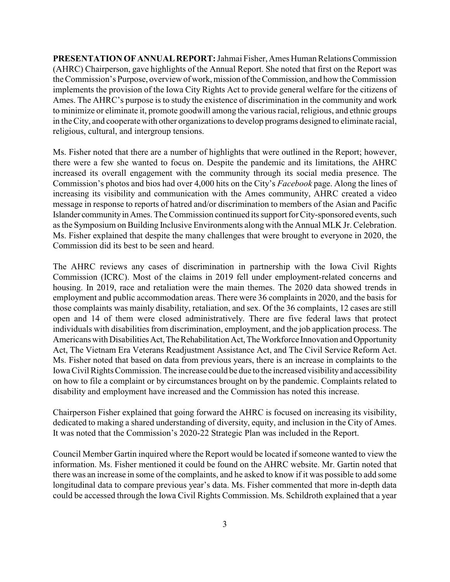**PRESENTATION OFANNUAL REPORT:** Jahmai Fisher, Ames Human RelationsCommission (AHRC) Chairperson, gave highlights of the Annual Report. She noted that first on the Report was the Commission's Purpose, overview of work, mission oftheCommission, and how the Commission implements the provision of the Iowa City Rights Act to provide general welfare for the citizens of Ames. The AHRC's purpose is to study the existence of discrimination in the community and work to minimize or eliminate it, promote goodwill among the various racial, religious, and ethnic groups in the City, and cooperate with other organizations to develop programs designed to eliminate racial, religious, cultural, and intergroup tensions.

Ms. Fisher noted that there are a number of highlights that were outlined in the Report; however, there were a few she wanted to focus on. Despite the pandemic and its limitations, the AHRC increased its overall engagement with the community through its social media presence. The Commission's photos and bios had over 4,000 hits on the City's *Facebook* page. Along the lines of increasing its visibility and communication with the Ames community, AHRC created a video message in response to reports of hatred and/or discrimination to members of the Asian and Pacific Islander community in Ames. The Commission continued its support for City-sponsored events, such as the Symposium on Building Inclusive Environments along with the Annual MLK Jr. Celebration. Ms. Fisher explained that despite the many challenges that were brought to everyone in 2020, the Commission did its best to be seen and heard.

The AHRC reviews any cases of discrimination in partnership with the Iowa Civil Rights Commission (ICRC). Most of the claims in 2019 fell under employment-related concerns and housing. In 2019, race and retaliation were the main themes. The 2020 data showed trends in employment and public accommodation areas. There were 36 complaints in 2020, and the basis for those complaints was mainly disability, retaliation, and sex. Of the 36 complaints, 12 cases are still open and 14 of them were closed administratively. There are five federal laws that protect individuals with disabilities from discrimination, employment, and the job application process. The Americans with Disabilities Act, The Rehabilitation Act, The Workforce Innovation and Opportunity Act, The Vietnam Era Veterans Readjustment Assistance Act, and The Civil Service Reform Act. Ms. Fisher noted that based on data from previous years, there is an increase in complaints to the Iowa Civil Rights Commission. The increase could be due to the increased visibility and accessibility on how to file a complaint or by circumstances brought on by the pandemic. Complaints related to disability and employment have increased and the Commission has noted this increase.

Chairperson Fisher explained that going forward the AHRC is focused on increasing its visibility, dedicated to making a shared understanding of diversity, equity, and inclusion in the City of Ames. It was noted that the Commission's 2020-22 Strategic Plan was included in the Report.

Council Member Gartin inquired where the Report would be located if someone wanted to view the information. Ms. Fisher mentioned it could be found on the AHRC website. Mr. Gartin noted that there was an increase in some of the complaints, and he asked to know if it was possible to add some longitudinal data to compare previous year's data. Ms. Fisher commented that more in-depth data could be accessed through the Iowa Civil Rights Commission. Ms. Schildroth explained that a year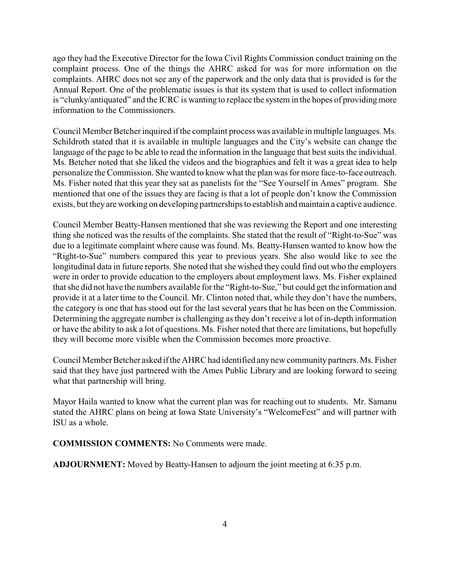ago they had the Executive Director for the Iowa Civil Rights Commission conduct training on the complaint process. One of the things the AHRC asked for was for more information on the complaints. AHRC does not see any of the paperwork and the only data that is provided is for the Annual Report. One of the problematic issues is that its system that is used to collect information is "clunky/antiquated" and the ICRC is wanting to replace the system in the hopes of providing more information to the Commissioners.

Council Member Betcher inquired if the complaint process was available in multiple languages. Ms. Schildroth stated that it is available in multiple languages and the City's website can change the language of the page to be able to read the information in the language that best suits the individual. Ms. Betcher noted that she liked the videos and the biographies and felt it was a great idea to help personalize the Commission. She wanted to know what the plan was for more face-to-face outreach. Ms. Fisher noted that this year they sat as panelists for the "See Yourself in Ames" program. She mentioned that one of the issues they are facing is that a lot of people don't know the Commission exists, but they are working on developing partnerships to establish and maintain a captive audience.

Council Member Beatty-Hansen mentioned that she was reviewing the Report and one interesting thing she noticed was the results of the complaints. She stated that the result of "Right-to-Sue" was due to a legitimate complaint where cause was found. Ms. Beatty-Hansen wanted to know how the "Right-to-Sue" numbers compared this year to previous years. She also would like to see the longitudinal data in future reports. She noted that she wished they could find out who the employers were in order to provide education to the employers about employment laws. Ms. Fisher explained that she did not have the numbers available for the "Right-to-Sue," but could get the information and provide it at a later time to the Council. Mr. Clinton noted that, while they don't have the numbers, the category is one that has stood out for the last several years that he has been on the Commission. Determining the aggregate number is challenging as they don't receive a lot of in-depth information or have the ability to ask a lot of questions. Ms. Fisher noted that there are limitations, but hopefully they will become more visible when the Commission becomes more proactive.

Council Member Betcher asked if the AHRC had identified any new community partners. Ms. Fisher said that they have just partnered with the Ames Public Library and are looking forward to seeing what that partnership will bring.

Mayor Haila wanted to know what the current plan was for reaching out to students. Mr. Samanu stated the AHRC plans on being at Iowa State University's "WelcomeFest" and will partner with ISU as a whole.

**COMMISSION COMMENTS:** No Comments were made.

**ADJOURNMENT:** Moved by Beatty-Hansen to adjourn the joint meeting at 6:35 p.m.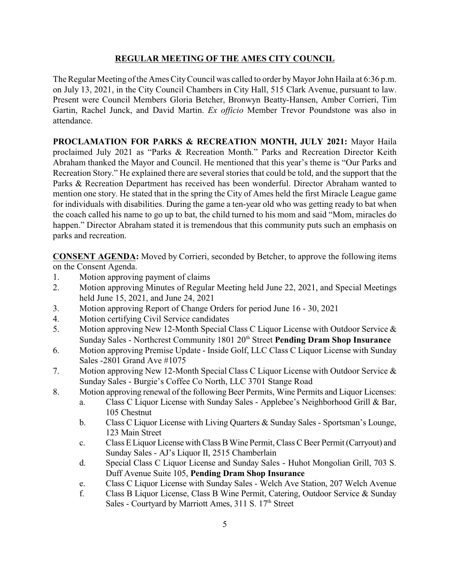## **REGULAR MEETING OF THE AMES CITY COUNCIL**

The Regular Meeting of the Ames CityCouncil was called to order byMayor John Haila at 6:36 p.m. on July 13, 2021, in the City Council Chambers in City Hall, 515 Clark Avenue, pursuant to law. Present were Council Members Gloria Betcher, Bronwyn Beatty-Hansen, Amber Corrieri, Tim Gartin, Rachel Junck, and David Martin. *Ex officio* Member Trevor Poundstone was also in attendance.

PROCLAMATION FOR PARKS & RECREATION MONTH, JULY 2021: Mayor Haila proclaimed July 2021 as "Parks & Recreation Month." Parks and Recreation Director Keith Abraham thanked the Mayor and Council. He mentioned that this year's theme is "Our Parks and Recreation Story." He explained there are several stories that could be told, and the support that the Parks & Recreation Department has received has been wonderful. Director Abraham wanted to mention one story. He stated that in the spring the City of Ames held the first Miracle League game for individuals with disabilities. During the game a ten-year old who was getting ready to bat when the coach called his name to go up to bat, the child turned to his mom and said "Mom, miracles do happen." Director Abraham stated it is tremendous that this community puts such an emphasis on parks and recreation.

**CONSENT AGENDA:** Moved by Corrieri, seconded by Betcher, to approve the following items on the Consent Agenda.

- 1. Motion approving payment of claims
- 2. Motion approving Minutes of Regular Meeting held June 22, 2021, and Special Meetings held June 15, 2021, and June 24, 2021
- 3. Motion approving Report of Change Orders for period June 16 30, 2021
- 4. Motion certifying Civil Service candidates
- 5. Motion approving New 12-Month Special Class C Liquor License with Outdoor Service & Sunday Sales - Northcrest Community 1801 20<sup>th</sup> Street Pending Dram Shop Insurance
- 6. Motion approving Premise Update Inside Golf, LLC Class C Liquor License with Sunday Sales -2801 Grand Ave #1075
- 7. Motion approving New 12-Month Special Class C Liquor License with Outdoor Service & Sunday Sales - Burgie's Coffee Co North, LLC 3701 Stange Road
- 8. Motion approving renewal of the following Beer Permits, Wine Permits and Liquor Licenses:
	- a. Class C Liquor License with Sunday Sales Applebee's Neighborhood Grill & Bar, 105 Chestnut
	- b. Class C Liquor License with Living Quarters & Sunday Sales Sportsman's Lounge, 123 Main Street
	- c. Class E Liquor License withClassBWine Permit, Class CBeer Permit(Carryout) and Sunday Sales - AJ's Liquor II, 2515 Chamberlain
	- d. Special Class C Liquor License and Sunday Sales Huhot Mongolian Grill, 703 S. Duff Avenue Suite 105, **Pending Dram Shop Insurance**
	- e. Class C Liquor License with Sunday Sales Welch Ave Station, 207 Welch Avenue
	- f. Class B Liquor License, Class B Wine Permit, Catering, Outdoor Service & Sunday Sales - Courtyard by Marriott Ames, 311 S. 17<sup>th</sup> Street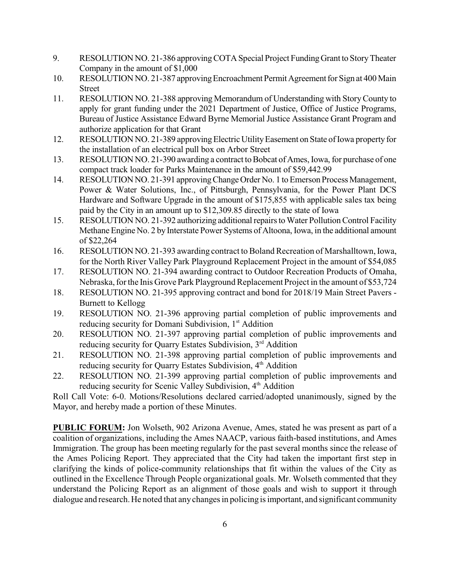- 9. RESOLUTION NO. 21-386 approving COTA Special Project Funding Grant to Story Theater Company in the amount of \$1,000
- 10. RESOLUTION NO. 21-387 approving Encroachment Permit Agreement for Sign at 400 Main Street
- 11. RESOLUTION NO. 21-388 approving Memorandum of Understanding with StoryCounty to apply for grant funding under the 2021 Department of Justice, Office of Justice Programs, Bureau of Justice Assistance Edward Byrne Memorial Justice Assistance Grant Program and authorize application for that Grant
- 12. RESOLUTION NO. 21-389 approving Electric Utility Easement on State of Iowa property for the installation of an electrical pull box on Arbor Street
- 13. RESOLUTION NO. 21-390 awarding a contract to Bobcat of Ames, Iowa, for purchase of one compact track loader for Parks Maintenance in the amount of \$59,442.99
- 14. RESOLUTION NO. 21-391 approving Change Order No. 1 to Emerson Process Management, Power & Water Solutions, Inc., of Pittsburgh, Pennsylvania, for the Power Plant DCS Hardware and Software Upgrade in the amount of \$175,855 with applicable sales tax being paid by the City in an amount up to \$12,309.85 directly to the state of Iowa
- 15. RESOLUTION NO. 21-392 authorizing additional repairs to Water Pollution Control Facility Methane Engine No. 2 by Interstate Power Systems of Altoona, Iowa, in the additional amount of \$22,264
- 16. RESOLUTION NO. 21-393 awarding contract to Boland Recreation of Marshalltown, Iowa, for the North River Valley Park Playground Replacement Project in the amount of \$54,085
- 17. RESOLUTION NO. 21-394 awarding contract to Outdoor Recreation Products of Omaha, Nebraska, for the Inis Grove Park Playground Replacement Project in the amount of \$53,724
- 18. RESOLUTION NO. 21-395 approving contract and bond for 2018/19 Main Street Pavers Burnett to Kellogg
- 19. RESOLUTION NO. 21-396 approving partial completion of public improvements and reducing security for Domani Subdivision, 1<sup>st</sup> Addition
- 20. RESOLUTION NO. 21-397 approving partial completion of public improvements and reducing security for Quarry Estates Subdivision, 3<sup>rd</sup> Addition
- 21. RESOLUTION NO. 21-398 approving partial completion of public improvements and reducing security for Quarry Estates Subdivision, 4<sup>th</sup> Addition
- 22. RESOLUTION NO. 21-399 approving partial completion of public improvements and reducing security for Scenic Valley Subdivision, 4<sup>th</sup> Addition

Roll Call Vote: 6-0. Motions/Resolutions declared carried/adopted unanimously, signed by the Mayor, and hereby made a portion of these Minutes.

**PUBLIC FORUM:** Jon Wolseth, 902 Arizona Avenue, Ames, stated he was present as part of a coalition of organizations, including the Ames NAACP, various faith-based institutions, and Ames Immigration. The group has been meeting regularly for the past several months since the release of the Ames Policing Report. They appreciated that the City had taken the important first step in clarifying the kinds of police-community relationships that fit within the values of the City as outlined in the Excellence Through People organizational goals. Mr. Wolseth commented that they understand the Policing Report as an alignment of those goals and wish to support it through dialogue and research. He noted that any changes in policing is important, and significant community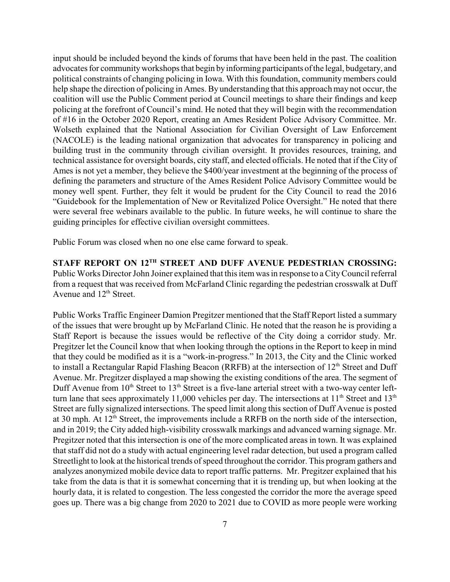input should be included beyond the kinds of forums that have been held in the past. The coalition advocates for community workshops that begin by informing participants of the legal, budgetary, and political constraints of changing policing in Iowa. With this foundation, community members could help shape the direction of policing in Ames. By understanding that this approach may not occur, the coalition will use the Public Comment period at Council meetings to share their findings and keep policing at the forefront of Council's mind. He noted that they will begin with the recommendation of #16 in the October 2020 Report, creating an Ames Resident Police Advisory Committee. Mr. Wolseth explained that the National Association for Civilian Oversight of Law Enforcement (NACOLE) is the leading national organization that advocates for transparency in policing and building trust in the community through civilian oversight. It provides resources, training, and technical assistance for oversight boards, city staff, and elected officials. He noted that if the City of Ames is not yet a member, they believe the \$400/year investment at the beginning of the process of defining the parameters and structure of the Ames Resident Police Advisory Committee would be money well spent. Further, they felt it would be prudent for the City Council to read the 2016 "Guidebook for the Implementation of New or Revitalized Police Oversight." He noted that there were several free webinars available to the public. In future weeks, he will continue to share the guiding principles for effective civilian oversight committees.

Public Forum was closed when no one else came forward to speak.

**STAFF REPORT ON 12TH STREET AND DUFF AVENUE PEDESTRIAN CROSSING:** Public Works Director John Joiner explained that this item was in response to a CityCouncil referral from a request that was received from McFarland Clinic regarding the pedestrian crosswalk at Duff Avenue and  $12<sup>th</sup>$  Street.

Public Works Traffic Engineer Damion Pregitzer mentioned that the Staff Report listed a summary of the issues that were brought up by McFarland Clinic. He noted that the reason he is providing a Staff Report is because the issues would be reflective of the City doing a corridor study. Mr. Pregitzer let the Council know that when looking through the options in the Report to keep in mind that they could be modified as it is a "work-in-progress." In 2013, the City and the Clinic worked to install a Rectangular Rapid Flashing Beacon (RRFB) at the intersection of 12<sup>th</sup> Street and Duff Avenue. Mr. Pregitzer displayed a map showing the existing conditions of the area. The segment of Duff Avenue from  $10<sup>th</sup>$  Street to  $13<sup>th</sup>$  Street is a five-lane arterial street with a two-way center leftturn lane that sees approximately 11,000 vehicles per day. The intersections at  $11<sup>th</sup>$  Street and  $13<sup>th</sup>$ Street are fully signalized intersections. The speed limit along this section of Duff Avenue is posted at 30 mph. At  $12<sup>th</sup>$  Street, the improvements include a RRFB on the north side of the intersection, and in 2019; the City added high-visibility crosswalk markings and advanced warning signage. Mr. Pregitzer noted that this intersection is one of the more complicated areas in town. It was explained that staff did not do a study with actual engineering level radar detection, but used a program called Streetlight to look at the historical trends of speed throughout the corridor. This program gathers and analyzes anonymized mobile device data to report traffic patterns. Mr. Pregitzer explained that his take from the data is that it is somewhat concerning that it is trending up, but when looking at the hourly data, it is related to congestion. The less congested the corridor the more the average speed goes up. There was a big change from 2020 to 2021 due to COVID as more people were working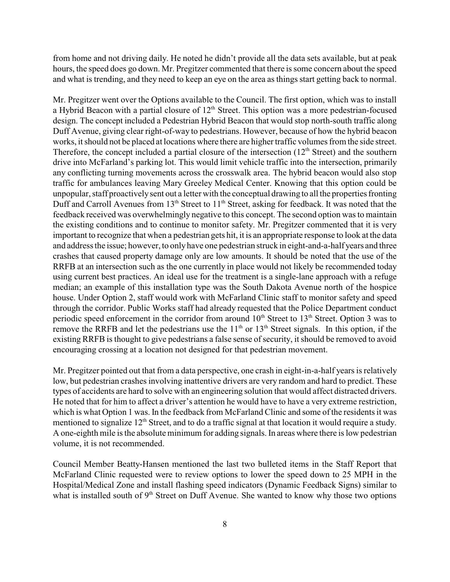from home and not driving daily. He noted he didn't provide all the data sets available, but at peak hours, the speed does go down. Mr. Pregitzer commented that there is some concern about the speed and what is trending, and they need to keep an eye on the area as things start getting back to normal.

Mr. Pregitzer went over the Options available to the Council. The first option, which was to install a Hybrid Beacon with a partial closure of  $12<sup>th</sup>$  Street. This option was a more pedestrian-focused design. The concept included a Pedestrian Hybrid Beacon that would stop north-south traffic along Duff Avenue, giving clear right-of-way to pedestrians. However, because of how the hybrid beacon works, it should not be placed at locations where there are higher traffic volumes from the side street. Therefore, the concept included a partial closure of the intersection  $(12<sup>th</sup> Street)$  and the southern drive into McFarland's parking lot. This would limit vehicle traffic into the intersection, primarily any conflicting turning movements across the crosswalk area. The hybrid beacon would also stop traffic for ambulances leaving Mary Greeley Medical Center. Knowing that this option could be unpopular, staff proactivelysent out a letter with the conceptual drawing to all the properties fronting Duff and Carroll Avenues from 13<sup>th</sup> Street to 11<sup>th</sup> Street, asking for feedback. It was noted that the feedback received was overwhelmingly negative to this concept. The second option was to maintain the existing conditions and to continue to monitor safety. Mr. Pregitzer commented that it is very important to recognize that when a pedestrian gets hit, it is an appropriate response to look at the data and address the issue; however, to onlyhave one pedestrian struck in eight-and-a-half years and three crashes that caused property damage only are low amounts. It should be noted that the use of the RRFB at an intersection such as the one currently in place would not likely be recommended today using current best practices. An ideal use for the treatment is a single-lane approach with a refuge median; an example of this installation type was the South Dakota Avenue north of the hospice house. Under Option 2, staff would work with McFarland Clinic staff to monitor safety and speed through the corridor. Public Works staff had already requested that the Police Department conduct periodic speed enforcement in the corridor from around 10<sup>th</sup> Street to 13<sup>th</sup> Street. Option 3 was to remove the RRFB and let the pedestrians use the  $11<sup>th</sup>$  or  $13<sup>th</sup>$  Street signals. In this option, if the existing RRFB is thought to give pedestrians a false sense of security, it should be removed to avoid encouraging crossing at a location not designed for that pedestrian movement.

Mr. Pregitzer pointed out that from a data perspective, one crash in eight-in-a-half years is relatively low, but pedestrian crashes involving inattentive drivers are very random and hard to predict. These types of accidents are hard to solve with an engineering solution that would affect distracted drivers. He noted that for him to affect a driver's attention he would have to have a very extreme restriction, which is what Option 1 was. In the feedback from McFarland Clinic and some of the residents it was mentioned to signalize  $12<sup>th</sup>$  Street, and to do a traffic signal at that location it would require a study. A one-eighth mile is the absolute minimum for adding signals. In areas where there is low pedestrian volume, it is not recommended.

Council Member Beatty-Hansen mentioned the last two bulleted items in the Staff Report that McFarland Clinic requested were to review options to lower the speed down to 25 MPH in the Hospital/Medical Zone and install flashing speed indicators (Dynamic Feedback Signs) similar to what is installed south of 9<sup>th</sup> Street on Duff Avenue. She wanted to know why those two options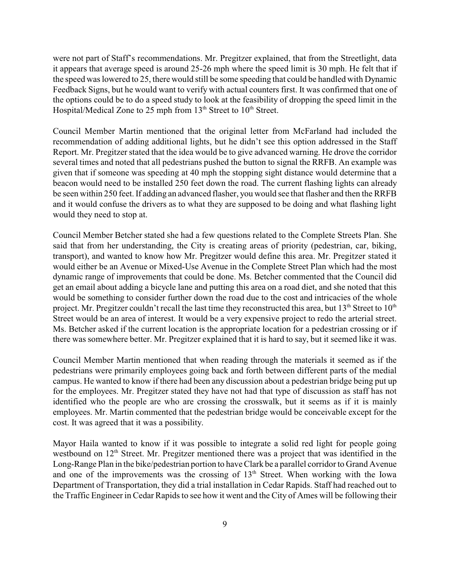were not part of Staff's recommendations. Mr. Pregitzer explained, that from the Streetlight, data it appears that average speed is around 25-26 mph where the speed limit is 30 mph. He felt that if the speed was lowered to 25, there would still be some speeding that could be handled with Dynamic Feedback Signs, but he would want to verify with actual counters first. It was confirmed that one of the options could be to do a speed study to look at the feasibility of dropping the speed limit in the Hospital/Medical Zone to 25 mph from  $13<sup>th</sup>$  Street to  $10<sup>th</sup>$  Street.

Council Member Martin mentioned that the original letter from McFarland had included the recommendation of adding additional lights, but he didn't see this option addressed in the Staff Report. Mr. Pregitzer stated that the idea would be to give advanced warning. He drove the corridor several times and noted that all pedestrians pushed the button to signal the RRFB. An example was given that if someone was speeding at 40 mph the stopping sight distance would determine that a beacon would need to be installed 250 feet down the road. The current flashing lights can already be seen within 250 feet. If adding an advanced flasher, you would see that flasher and then the RRFB and it would confuse the drivers as to what they are supposed to be doing and what flashing light would they need to stop at.

Council Member Betcher stated she had a few questions related to the Complete Streets Plan. She said that from her understanding, the City is creating areas of priority (pedestrian, car, biking, transport), and wanted to know how Mr. Pregitzer would define this area. Mr. Pregitzer stated it would either be an Avenue or Mixed-Use Avenue in the Complete Street Plan which had the most dynamic range of improvements that could be done. Ms. Betcher commented that the Council did get an email about adding a bicycle lane and putting this area on a road diet, and she noted that this would be something to consider further down the road due to the cost and intricacies of the whole project. Mr. Pregitzer couldn't recall the last time they reconstructed this area, but  $13<sup>th</sup>$  Street to  $10<sup>th</sup>$ Street would be an area of interest. It would be a very expensive project to redo the arterial street. Ms. Betcher asked if the current location is the appropriate location for a pedestrian crossing or if there was somewhere better. Mr. Pregitzer explained that it is hard to say, but it seemed like it was.

Council Member Martin mentioned that when reading through the materials it seemed as if the pedestrians were primarily employees going back and forth between different parts of the medial campus. He wanted to know if there had been any discussion about a pedestrian bridge being put up for the employees. Mr. Pregitzer stated they have not had that type of discussion as staff has not identified who the people are who are crossing the crosswalk, but it seems as if it is mainly employees. Mr. Martin commented that the pedestrian bridge would be conceivable except for the cost. It was agreed that it was a possibility.

Mayor Haila wanted to know if it was possible to integrate a solid red light for people going westbound on 12<sup>th</sup> Street. Mr. Pregitzer mentioned there was a project that was identified in the Long-Range Plan in the bike/pedestrian portion to have Clark be a parallel corridor to Grand Avenue and one of the improvements was the crossing of 13<sup>th</sup> Street. When working with the Iowa Department of Transportation, they did a trial installation in Cedar Rapids. Staff had reached out to the Traffic Engineer in Cedar Rapids to see how it went and the City of Ames will be following their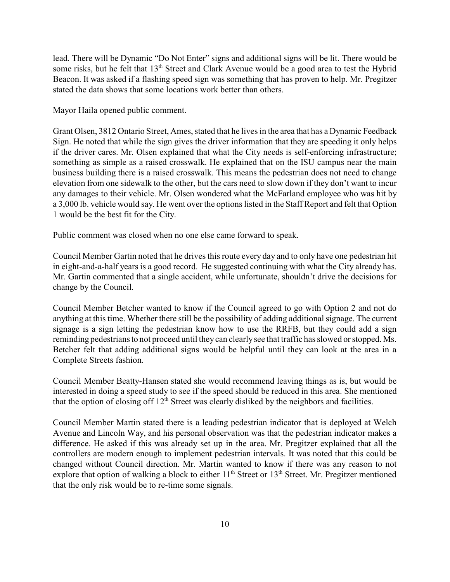lead. There will be Dynamic "Do Not Enter" signs and additional signs will be lit. There would be some risks, but he felt that 13<sup>th</sup> Street and Clark Avenue would be a good area to test the Hybrid Beacon. It was asked if a flashing speed sign was something that has proven to help. Mr. Pregitzer stated the data shows that some locations work better than others.

Mayor Haila opened public comment.

Grant Olsen, 3812 Ontario Street, Ames, stated that he lives in the area that has a Dynamic Feedback Sign. He noted that while the sign gives the driver information that they are speeding it only helps if the driver cares. Mr. Olsen explained that what the City needs is self-enforcing infrastructure; something as simple as a raised crosswalk. He explained that on the ISU campus near the main business building there is a raised crosswalk. This means the pedestrian does not need to change elevation from one sidewalk to the other, but the cars need to slow down if they don't want to incur any damages to their vehicle. Mr. Olsen wondered what the McFarland employee who was hit by a 3,000 lb. vehicle would say. He went over the options listed in the Staff Report and felt that Option 1 would be the best fit for the City.

Public comment was closed when no one else came forward to speak.

Council Member Gartin noted that he drives this route every day and to only have one pedestrian hit in eight-and-a-half years is a good record. He suggested continuing with what the City already has. Mr. Gartin commented that a single accident, while unfortunate, shouldn't drive the decisions for change by the Council.

Council Member Betcher wanted to know if the Council agreed to go with Option 2 and not do anything at this time. Whether there still be the possibility of adding additional signage. The current signage is a sign letting the pedestrian know how to use the RRFB, but they could add a sign reminding pedestrians to not proceed until they can clearlysee that traffic has slowed or stopped. Ms. Betcher felt that adding additional signs would be helpful until they can look at the area in a Complete Streets fashion.

Council Member Beatty-Hansen stated she would recommend leaving things as is, but would be interested in doing a speed study to see if the speed should be reduced in this area. She mentioned that the option of closing off  $12<sup>th</sup>$  Street was clearly disliked by the neighbors and facilities.

Council Member Martin stated there is a leading pedestrian indicator that is deployed at Welch Avenue and Lincoln Way, and his personal observation was that the pedestrian indicator makes a difference. He asked if this was already set up in the area. Mr. Pregitzer explained that all the controllers are modern enough to implement pedestrian intervals. It was noted that this could be changed without Council direction. Mr. Martin wanted to know if there was any reason to not explore that option of walking a block to either 11<sup>th</sup> Street or 13<sup>th</sup> Street. Mr. Pregitzer mentioned that the only risk would be to re-time some signals.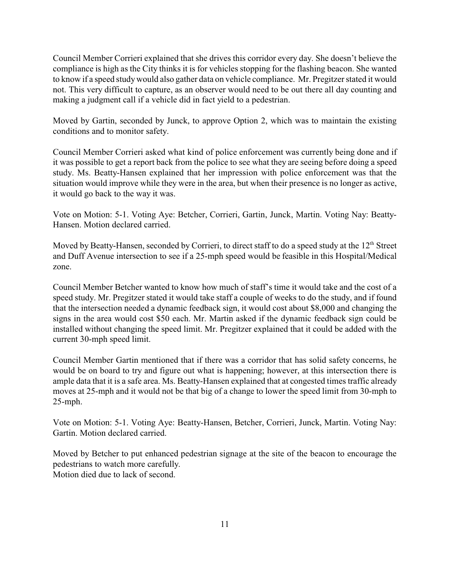Council Member Corrieri explained that she drives this corridor every day. She doesn't believe the compliance is high as the City thinks it is for vehicles stopping for the flashing beacon. She wanted to know if a speed studywould also gather data on vehicle compliance. Mr. Pregitzer stated it would not. This very difficult to capture, as an observer would need to be out there all day counting and making a judgment call if a vehicle did in fact yield to a pedestrian.

Moved by Gartin, seconded by Junck, to approve Option 2, which was to maintain the existing conditions and to monitor safety.

Council Member Corrieri asked what kind of police enforcement was currently being done and if it was possible to get a report back from the police to see what they are seeing before doing a speed study. Ms. Beatty-Hansen explained that her impression with police enforcement was that the situation would improve while they were in the area, but when their presence is no longer as active, it would go back to the way it was.

Vote on Motion: 5-1. Voting Aye: Betcher, Corrieri, Gartin, Junck, Martin. Voting Nay: Beatty-Hansen. Motion declared carried.

Moved by Beatty-Hansen, seconded by Corrieri, to direct staff to do a speed study at the 12<sup>th</sup> Street and Duff Avenue intersection to see if a 25-mph speed would be feasible in this Hospital/Medical zone.

Council Member Betcher wanted to know how much of staff's time it would take and the cost of a speed study. Mr. Pregitzer stated it would take staff a couple of weeks to do the study, and if found that the intersection needed a dynamic feedback sign, it would cost about \$8,000 and changing the signs in the area would cost \$50 each. Mr. Martin asked if the dynamic feedback sign could be installed without changing the speed limit. Mr. Pregitzer explained that it could be added with the current 30-mph speed limit.

Council Member Gartin mentioned that if there was a corridor that has solid safety concerns, he would be on board to try and figure out what is happening; however, at this intersection there is ample data that it is a safe area. Ms. Beatty-Hansen explained that at congested times traffic already moves at 25-mph and it would not be that big of a change to lower the speed limit from 30-mph to 25-mph.

Vote on Motion: 5-1. Voting Aye: Beatty-Hansen, Betcher, Corrieri, Junck, Martin. Voting Nay: Gartin. Motion declared carried.

Moved by Betcher to put enhanced pedestrian signage at the site of the beacon to encourage the pedestrians to watch more carefully. Motion died due to lack of second.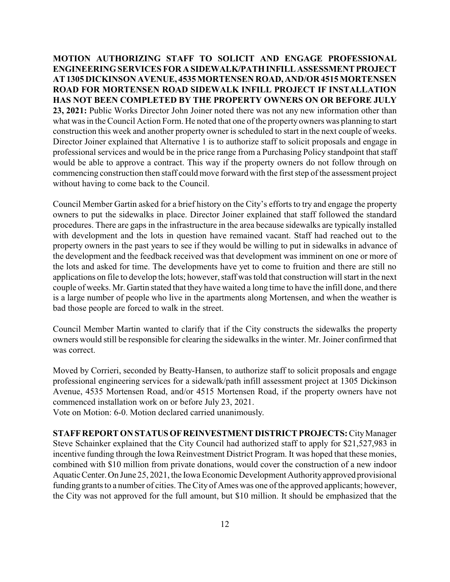**MOTION AUTHORIZING STAFF TO SOLICIT AND ENGAGE PROFESSIONAL ENGINEERINGSERVICES FOR A SIDEWALK/PATHINFILLASSESSMENTPROJECT AT 1305 DICKINSON AVENUE, 4535 MORTENSEN ROAD, AND/OR 4515 MORTENSEN ROAD FOR MORTENSEN ROAD SIDEWALK INFILL PROJECT IF INSTALLATION HAS NOT BEEN COMPLETED BY THE PROPERTY OWNERS ON OR BEFORE JULY 23, 2021:** Public Works Director John Joiner noted there was not any new information other than what was in the Council Action Form. He noted that one of the property owners was planning to start construction this week and another property owner is scheduled to start in the next couple of weeks. Director Joiner explained that Alternative 1 is to authorize staff to solicit proposals and engage in professional services and would be in the price range from a Purchasing Policy standpoint that staff would be able to approve a contract. This way if the property owners do not follow through on commencing construction then staff could move forward with the first step of the assessment project without having to come back to the Council.

Council Member Gartin asked for a brief history on the City's efforts to try and engage the property owners to put the sidewalks in place. Director Joiner explained that staff followed the standard procedures. There are gaps in the infrastructure in the area because sidewalks are typically installed with development and the lots in question have remained vacant. Staff had reached out to the property owners in the past years to see if they would be willing to put in sidewalks in advance of the development and the feedback received was that development was imminent on one or more of the lots and asked for time. The developments have yet to come to fruition and there are still no applications on file to develop the lots; however, staff was told that construction will start in the next couple of weeks. Mr. Gartin stated that they have waited a long time to have the infill done, and there is a large number of people who live in the apartments along Mortensen, and when the weather is bad those people are forced to walk in the street.

Council Member Martin wanted to clarify that if the City constructs the sidewalks the property owners would still be responsible for clearing the sidewalks in the winter. Mr. Joiner confirmed that was correct.

Moved by Corrieri, seconded by Beatty-Hansen, to authorize staff to solicit proposals and engage professional engineering services for a sidewalk/path infill assessment project at 1305 Dickinson Avenue, 4535 Mortensen Road, and/or 4515 Mortensen Road, if the property owners have not commenced installation work on or before July 23, 2021.

Vote on Motion: 6-0. Motion declared carried unanimously.

**STAFFREPORT ON STATUSOFREINVESTMENT DISTRICT PROJECTS:**CityManager Steve Schainker explained that the City Council had authorized staff to apply for \$21,527,983 in incentive funding through the Iowa Reinvestment District Program. It was hoped that these monies, combined with \$10 million from private donations, would cover the construction of a new indoor AquaticCenter.On June 25, 2021, the Iowa Economic Development Authorityapproved provisional funding grants to a number of cities. The City of Ames was one of the approved applicants; however, the City was not approved for the full amount, but \$10 million. It should be emphasized that the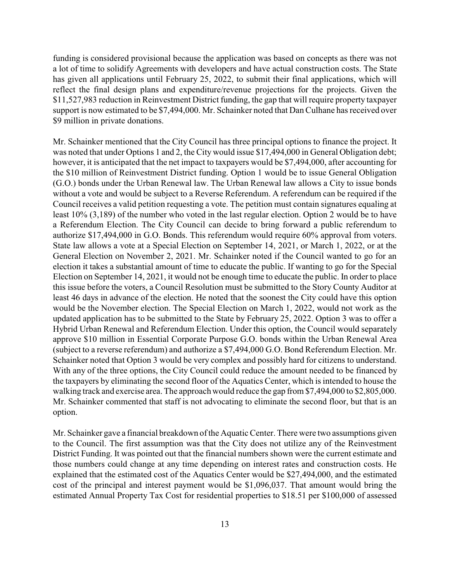funding is considered provisional because the application was based on concepts as there was not a lot of time to solidify Agreements with developers and have actual construction costs. The State has given all applications until February 25, 2022, to submit their final applications, which will reflect the final design plans and expenditure/revenue projections for the projects. Given the \$11,527,983 reduction in Reinvestment District funding, the gap that will require property taxpayer support is now estimated to be \$7,494,000. Mr. Schainker noted that Dan Culhane has received over \$9 million in private donations.

Mr. Schainker mentioned that the City Council has three principal options to finance the project. It was noted that under Options 1 and 2, the City would issue \$17,494,000 in General Obligation debt; however, it is anticipated that the net impact to taxpayers would be \$7,494,000, after accounting for the \$10 million of Reinvestment District funding. Option 1 would be to issue General Obligation (G.O.) bonds under the Urban Renewal law. The Urban Renewal law allows a City to issue bonds without a vote and would be subject to a Reverse Referendum. A referendum can be required if the Council receives a valid petition requesting a vote. The petition must contain signatures equaling at least 10% (3,189) of the number who voted in the last regular election. Option 2 would be to have a Referendum Election. The City Council can decide to bring forward a public referendum to authorize \$17,494,000 in G.O. Bonds. This referendum would require 60% approval from voters. State law allows a vote at a Special Election on September 14, 2021, or March 1, 2022, or at the General Election on November 2, 2021. Mr. Schainker noted if the Council wanted to go for an election it takes a substantial amount of time to educate the public. If wanting to go for the Special Election on September 14, 2021, it would not be enough time to educate the public. In order to place this issue before the voters, a Council Resolution must be submitted to the Story County Auditor at least 46 days in advance of the election. He noted that the soonest the City could have this option would be the November election. The Special Election on March 1, 2022, would not work as the updated application has to be submitted to the State by February 25, 2022. Option 3 was to offer a Hybrid Urban Renewal and Referendum Election. Under this option, the Council would separately approve \$10 million in Essential Corporate Purpose G.O. bonds within the Urban Renewal Area (subject to a reverse referendum) and authorize a \$7,494,000 G.O. Bond Referendum Election. Mr. Schainker noted that Option 3 would be very complex and possibly hard for citizens to understand. With any of the three options, the City Council could reduce the amount needed to be financed by the taxpayers by eliminating the second floor of the Aquatics Center, which is intended to house the walking track and exercise area. The approach would reduce the gap from \$7,494,000 to \$2,805,000. Mr. Schainker commented that staff is not advocating to eliminate the second floor, but that is an option.

Mr. Schainker gave a financial breakdown of the Aquatic Center. There were two assumptions given to the Council. The first assumption was that the City does not utilize any of the Reinvestment District Funding. It was pointed out that the financial numbers shown were the current estimate and those numbers could change at any time depending on interest rates and construction costs. He explained that the estimated cost of the Aquatics Center would be \$27,494,000, and the estimated cost of the principal and interest payment would be \$1,096,037. That amount would bring the estimated Annual Property Tax Cost for residential properties to \$18.51 per \$100,000 of assessed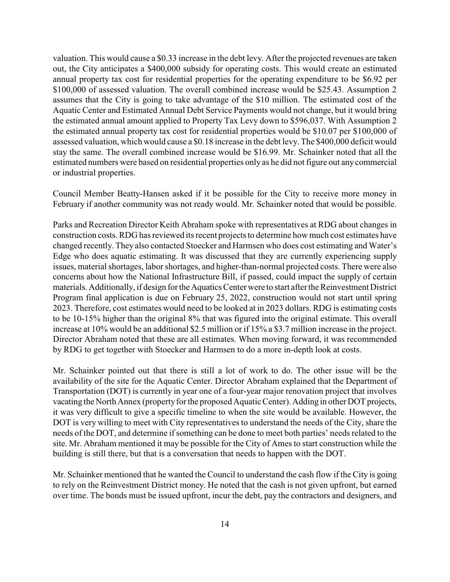valuation. This would cause a \$0.33 increase in the debt levy. After the projected revenues are taken out, the City anticipates a \$400,000 subsidy for operating costs. This would create an estimated annual property tax cost for residential properties for the operating expenditure to be \$6.92 per \$100,000 of assessed valuation. The overall combined increase would be \$25.43. Assumption 2 assumes that the City is going to take advantage of the \$10 million. The estimated cost of the Aquatic Center and Estimated Annual Debt Service Payments would not change, but it would bring the estimated annual amount applied to Property Tax Levy down to \$596,037. With Assumption 2 the estimated annual property tax cost for residential properties would be \$10.07 per \$100,000 of assessed valuation, which would cause a \$0.18 increase in the debt levy. The \$400,000 deficit would stay the same. The overall combined increase would be \$16.99. Mr. Schainker noted that all the estimated numbers were based on residential properties only as he did not figure out any commercial or industrial properties.

Council Member Beatty-Hansen asked if it be possible for the City to receive more money in February if another community was not ready would. Mr. Schainker noted that would be possible.

Parks and Recreation Director Keith Abraham spoke with representatives at RDG about changes in construction costs. RDG has reviewed its recent projects to determine how much cost estimates have changed recently. They also contacted Stoecker and Harmsen who does cost estimating and Water's Edge who does aquatic estimating. It was discussed that they are currently experiencing supply issues, material shortages, labor shortages, and higher-than-normal projected costs. There were also concerns about how the National Infrastructure Bill, if passed, could impact the supply of certain materials. Additionally, if design for the Aquatics Center were to start after the Reinvestment District Program final application is due on February 25, 2022, construction would not start until spring 2023. Therefore, cost estimates would need to be looked at in 2023 dollars. RDG is estimating costs to be 10-15% higher than the original 8% that was figured into the original estimate. This overall increase at 10% would be an additional \$2.5 million or if 15% a \$3.7 million increase in the project. Director Abraham noted that these are all estimates. When moving forward, it was recommended by RDG to get together with Stoecker and Harmsen to do a more in-depth look at costs.

Mr. Schainker pointed out that there is still a lot of work to do. The other issue will be the availability of the site for the Aquatic Center. Director Abraham explained that the Department of Transportation (DOT) is currently in year one of a four-year major renovation project that involves vacating the North Annex (property for the proposed Aquatic Center). Adding in other DOT projects, it was very difficult to give a specific timeline to when the site would be available. However, the DOT is very willing to meet with City representatives to understand the needs of the City, share the needs of the DOT, and determine if something can be done to meet both parties' needs related to the site. Mr. Abraham mentioned it may be possible for the City of Ames to start construction while the building is still there, but that is a conversation that needs to happen with the DOT.

Mr. Schainker mentioned that he wanted the Council to understand the cash flow if the City is going to rely on the Reinvestment District money. He noted that the cash is not given upfront, but earned over time. The bonds must be issued upfront, incur the debt, pay the contractors and designers, and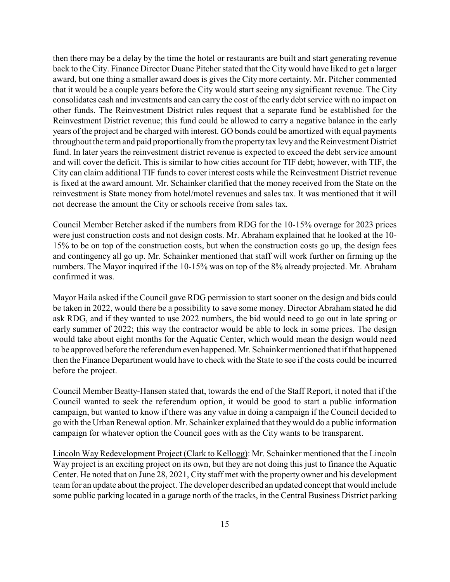then there may be a delay by the time the hotel or restaurants are built and start generating revenue back to the City. Finance Director Duane Pitcher stated that the City would have liked to get a larger award, but one thing a smaller award does is gives the City more certainty. Mr. Pitcher commented that it would be a couple years before the City would start seeing any significant revenue. The City consolidates cash and investments and can carry the cost of the early debt service with no impact on other funds. The Reinvestment District rules request that a separate fund be established for the Reinvestment District revenue; this fund could be allowed to carry a negative balance in the early years of the project and be charged with interest. GO bonds could be amortized with equal payments throughout the term and paid proportionally from the property tax levy and the Reinvestment District fund. In later years the reinvestment district revenue is expected to exceed the debt service amount and will cover the deficit. This is similar to how cities account for TIF debt; however, with TIF, the City can claim additional TIF funds to cover interest costs while the Reinvestment District revenue is fixed at the award amount. Mr. Schainker clarified that the money received from the State on the reinvestment is State money from hotel/motel revenues and sales tax. It was mentioned that it will not decrease the amount the City or schools receive from sales tax.

Council Member Betcher asked if the numbers from RDG for the 10-15% overage for 2023 prices were just construction costs and not design costs. Mr. Abraham explained that he looked at the 10- 15% to be on top of the construction costs, but when the construction costs go up, the design fees and contingency all go up. Mr. Schainker mentioned that staff will work further on firming up the numbers. The Mayor inquired if the 10-15% was on top of the 8% already projected. Mr. Abraham confirmed it was.

Mayor Haila asked if the Council gave RDG permission to start sooner on the design and bids could be taken in 2022, would there be a possibility to save some money. Director Abraham stated he did ask RDG, and if they wanted to use 2022 numbers, the bid would need to go out in late spring or early summer of 2022; this way the contractor would be able to lock in some prices. The design would take about eight months for the Aquatic Center, which would mean the design would need to be approved before the referendum even happened. Mr. Schainker mentioned that if that happened then the Finance Department would have to check with the State to see if the costs could be incurred before the project.

Council Member Beatty-Hansen stated that, towards the end of the Staff Report, it noted that if the Council wanted to seek the referendum option, it would be good to start a public information campaign, but wanted to know if there was any value in doing a campaign if the Council decided to go with the Urban Renewal option. Mr. Schainker explained that theywould do a public information campaign for whatever option the Council goes with as the City wants to be transparent.

Lincoln WayRedevelopment Project (Clark to Kellogg): Mr. Schainker mentioned that the Lincoln Way project is an exciting project on its own, but they are not doing this just to finance the Aquatic Center. He noted that on June 28, 2021, City staff met with the property owner and his development team for an update about the project. The developer described an updated concept that would include some public parking located in a garage north of the tracks, in the Central Business District parking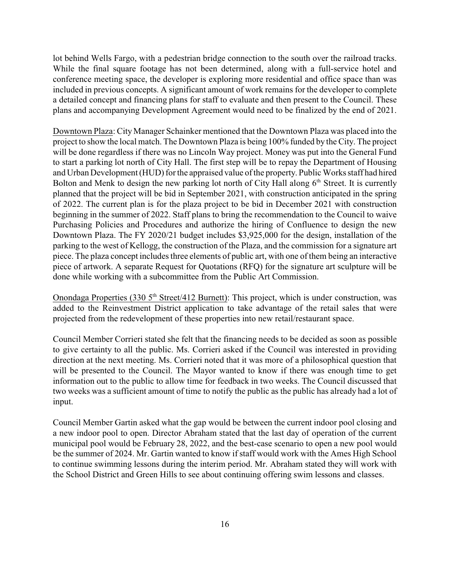lot behind Wells Fargo, with a pedestrian bridge connection to the south over the railroad tracks. While the final square footage has not been determined, along with a full-service hotel and conference meeting space, the developer is exploring more residential and office space than was included in previous concepts. A significant amount of work remains for the developer to complete a detailed concept and financing plans for staff to evaluate and then present to the Council. These plans and accompanying Development Agreement would need to be finalized by the end of 2021.

Downtown Plaza: City Manager Schainker mentioned that the Downtown Plaza was placed into the project to show the local match. The Downtown Plaza is being 100% funded by the City. The project will be done regardless if there was no Lincoln Way project. Money was put into the General Fund to start a parking lot north of City Hall. The first step will be to repay the Department of Housing and Urban Development (HUD) for the appraised value of the property. Public Works staff had hired Bolton and Menk to design the new parking lot north of City Hall along  $6<sup>th</sup>$  Street. It is currently planned that the project will be bid in September 2021, with construction anticipated in the spring of 2022. The current plan is for the plaza project to be bid in December 2021 with construction beginning in the summer of 2022. Staff plans to bring the recommendation to the Council to waive Purchasing Policies and Procedures and authorize the hiring of Confluence to design the new Downtown Plaza. The FY 2020/21 budget includes \$3,925,000 for the design, installation of the parking to the west of Kellogg, the construction of the Plaza, and the commission for a signature art piece. The plaza concept includes three elements of public art, with one of them being an interactive piece of artwork. A separate Request for Quotations (RFQ) for the signature art sculpture will be done while working with a subcommittee from the Public Art Commission.

Onondaga Properties (330 5<sup>th</sup> Street/412 Burnett): This project, which is under construction, was added to the Reinvestment District application to take advantage of the retail sales that were projected from the redevelopment of these properties into new retail/restaurant space.

Council Member Corrieri stated she felt that the financing needs to be decided as soon as possible to give certainty to all the public. Ms. Corrieri asked if the Council was interested in providing direction at the next meeting. Ms. Corrieri noted that it was more of a philosophical question that will be presented to the Council. The Mayor wanted to know if there was enough time to get information out to the public to allow time for feedback in two weeks. The Council discussed that two weeks was a sufficient amount of time to notify the public as the public has already had a lot of input.

Council Member Gartin asked what the gap would be between the current indoor pool closing and a new indoor pool to open. Director Abraham stated that the last day of operation of the current municipal pool would be February 28, 2022, and the best-case scenario to open a new pool would be the summer of 2024. Mr. Gartin wanted to know if staff would work with the Ames High School to continue swimming lessons during the interim period. Mr. Abraham stated they will work with the School District and Green Hills to see about continuing offering swim lessons and classes.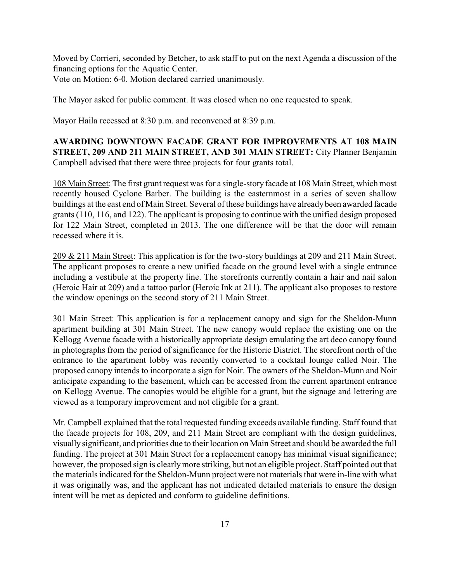Moved by Corrieri, seconded by Betcher, to ask staff to put on the next Agenda a discussion of the financing options for the Aquatic Center. Vote on Motion: 6-0. Motion declared carried unanimously.

The Mayor asked for public comment. It was closed when no one requested to speak.

Mayor Haila recessed at 8:30 p.m. and reconvened at 8:39 p.m.

**AWARDING DOWNTOWN FACADE GRANT FOR IMPROVEMENTS AT 108 MAIN STREET, 209 AND 211 MAIN STREET, AND 301 MAIN STREET:** City Planner Benjamin Campbell advised that there were three projects for four grants total.

108 Main Street: The first grant request was for a single-story facade at 108 Main Street, which most recently housed Cyclone Barber. The building is the easternmost in a series of seven shallow buildings at the east end of Main Street. Several of these buildings have alreadybeen awarded facade grants (110, 116, and 122). The applicant is proposing to continue with the unified design proposed for 122 Main Street, completed in 2013. The one difference will be that the door will remain recessed where it is.

209 & 211 Main Street: This application is for the two-story buildings at 209 and 211 Main Street. The applicant proposes to create a new unified facade on the ground level with a single entrance including a vestibule at the property line. The storefronts currently contain a hair and nail salon (Heroic Hair at 209) and a tattoo parlor (Heroic Ink at 211). The applicant also proposes to restore the window openings on the second story of 211 Main Street.

301 Main Street: This application is for a replacement canopy and sign for the Sheldon-Munn apartment building at 301 Main Street. The new canopy would replace the existing one on the Kellogg Avenue facade with a historically appropriate design emulating the art deco canopy found in photographs from the period of significance for the Historic District. The storefront north of the entrance to the apartment lobby was recently converted to a cocktail lounge called Noir. The proposed canopy intends to incorporate a sign for Noir. The owners of the Sheldon-Munn and Noir anticipate expanding to the basement, which can be accessed from the current apartment entrance on Kellogg Avenue. The canopies would be eligible for a grant, but the signage and lettering are viewed as a temporary improvement and not eligible for a grant.

Mr. Campbell explained that the total requested funding exceeds available funding. Staff found that the facade projects for 108, 209, and 211 Main Street are compliant with the design guidelines, visually significant, and priorities due to their location on Main Street and should be awarded the full funding. The project at 301 Main Street for a replacement canopy has minimal visual significance; however, the proposed sign is clearlymore striking, but not an eligible project. Staff pointed out that the materials indicated for the Sheldon-Munn project were not materials that were in-line with what it was originally was, and the applicant has not indicated detailed materials to ensure the design intent will be met as depicted and conform to guideline definitions.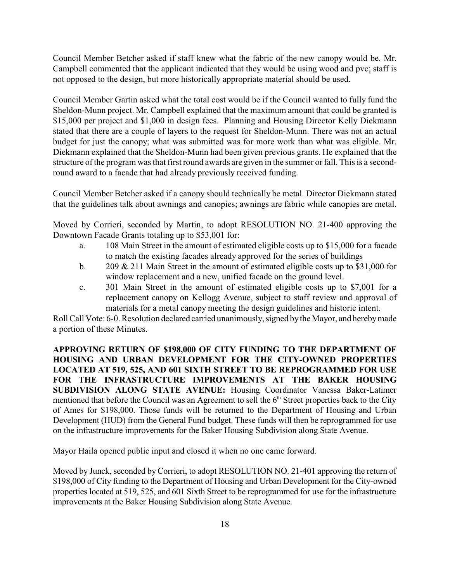Council Member Betcher asked if staff knew what the fabric of the new canopy would be. Mr. Campbell commented that the applicant indicated that they would be using wood and pvc; staff is not opposed to the design, but more historically appropriate material should be used.

Council Member Gartin asked what the total cost would be if the Council wanted to fully fund the Sheldon-Munn project. Mr. Campbell explained that the maximum amount that could be granted is \$15,000 per project and \$1,000 in design fees. Planning and Housing Director Kelly Diekmann stated that there are a couple of layers to the request for Sheldon-Munn. There was not an actual budget for just the canopy; what was submitted was for more work than what was eligible. Mr. Diekmann explained that the Sheldon-Munn had been given previous grants. He explained that the structure of the program was that first round awards are given in the summer or fall. This is a secondround award to a facade that had already previously received funding.

Council Member Betcher asked if a canopy should technically be metal. Director Diekmann stated that the guidelines talk about awnings and canopies; awnings are fabric while canopies are metal.

Moved by Corrieri, seconded by Martin, to adopt RESOLUTION NO. 21-400 approving the Downtown Facade Grants totaling up to \$53,001 for:

- a. 108 Main Street in the amount of estimated eligible costs up to \$15,000 for a facade to match the existing facades already approved for the series of buildings
- b. 209 & 211 Main Street in the amount of estimated eligible costs up to \$31,000 for window replacement and a new, unified facade on the ground level.
- c. 301 Main Street in the amount of estimated eligible costs up to \$7,001 for a replacement canopy on Kellogg Avenue, subject to staff review and approval of materials for a metal canopy meeting the design guidelines and historic intent.

Roll Call Vote: 6-0. Resolution declared carried unanimously, signed bythe Mayor, and herebymade a portion of these Minutes.

**APPROVING RETURN OF \$198,000 OF CITY FUNDING TO THE DEPARTMENT OF HOUSING AND URBAN DEVELOPMENT FOR THE CITY-OWNED PROPERTIES LOCATED AT 519, 525, AND 601 SIXTH STREET TO BE REPROGRAMMED FOR USE FOR THE INFRASTRUCTURE IMPROVEMENTS AT THE BAKER HOUSING SUBDIVISION ALONG STATE AVENUE:** Housing Coordinator Vanessa Baker-Latimer mentioned that before the Council was an Agreement to sell the 6<sup>th</sup> Street properties back to the City of Ames for \$198,000. Those funds will be returned to the Department of Housing and Urban Development (HUD) from the General Fund budget. These funds will then be reprogrammed for use on the infrastructure improvements for the Baker Housing Subdivision along State Avenue.

Mayor Haila opened public input and closed it when no one came forward.

Moved by Junck, seconded by Corrieri, to adopt RESOLUTION NO. 21-401 approving the return of \$198,000 of City funding to the Department of Housing and Urban Development for the City-owned properties located at 519, 525, and 601 Sixth Street to be reprogrammed for use for the infrastructure improvements at the Baker Housing Subdivision along State Avenue.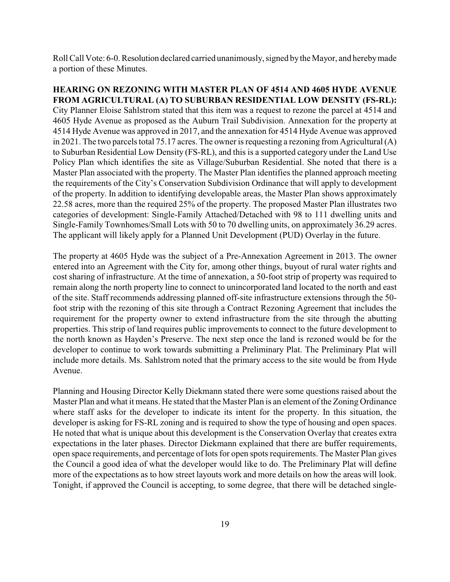Roll Call Vote: 6-0. Resolution declared carried unanimously, signed bythe Mayor, and herebymade a portion of these Minutes.

**HEARING ON REZONING WITH MASTER PLAN OF 4514 AND 4605 HYDE AVENUE FROM AGRICULTURAL (A) TO SUBURBAN RESIDENTIAL LOW DENSITY (FS-RL):** City Planner Eloise Sahlstrom stated that this item was a request to rezone the parcel at 4514 and 4605 Hyde Avenue as proposed as the Auburn Trail Subdivision. Annexation for the property at 4514 Hyde Avenue was approved in 2017, and the annexation for 4514 Hyde Avenue was approved in 2021. The two parcels total 75.17 acres. The owner is requesting a rezoning from Agricultural (A) to Suburban Residential Low Density (FS-RL), and this is a supported category under the Land Use Policy Plan which identifies the site as Village/Suburban Residential. She noted that there is a Master Plan associated with the property. The Master Plan identifies the planned approach meeting the requirements of the City's Conservation Subdivision Ordinance that will apply to development of the property. In addition to identifying developable areas, the Master Plan shows approximately 22.58 acres, more than the required 25% of the property. The proposed Master Plan illustrates two categories of development: Single-Family Attached/Detached with 98 to 111 dwelling units and Single-Family Townhomes/Small Lots with 50 to 70 dwelling units, on approximately 36.29 acres. The applicant will likely apply for a Planned Unit Development (PUD) Overlay in the future.

The property at 4605 Hyde was the subject of a Pre-Annexation Agreement in 2013. The owner entered into an Agreement with the City for, among other things, buyout of rural water rights and cost sharing of infrastructure. At the time of annexation, a 50-foot strip of property was required to remain along the north property line to connect to unincorporated land located to the north and east of the site. Staff recommends addressing planned off-site infrastructure extensions through the 50 foot strip with the rezoning of this site through a Contract Rezoning Agreement that includes the requirement for the property owner to extend infrastructure from the site through the abutting properties. This strip of land requires public improvements to connect to the future development to the north known as Hayden's Preserve. The next step once the land is rezoned would be for the developer to continue to work towards submitting a Preliminary Plat. The Preliminary Plat will include more details. Ms. Sahlstrom noted that the primary access to the site would be from Hyde Avenue.

Planning and Housing Director Kelly Diekmann stated there were some questions raised about the Master Plan and what it means. He stated that the Master Plan is an element of the Zoning Ordinance where staff asks for the developer to indicate its intent for the property. In this situation, the developer is asking for FS-RL zoning and is required to show the type of housing and open spaces. He noted that what is unique about this development is the Conservation Overlay that creates extra expectations in the later phases. Director Diekmann explained that there are buffer requirements, open space requirements, and percentage of lots for open spots requirements. The Master Plan gives the Council a good idea of what the developer would like to do. The Preliminary Plat will define more of the expectations as to how street layouts work and more details on how the areas will look. Tonight, if approved the Council is accepting, to some degree, that there will be detached single-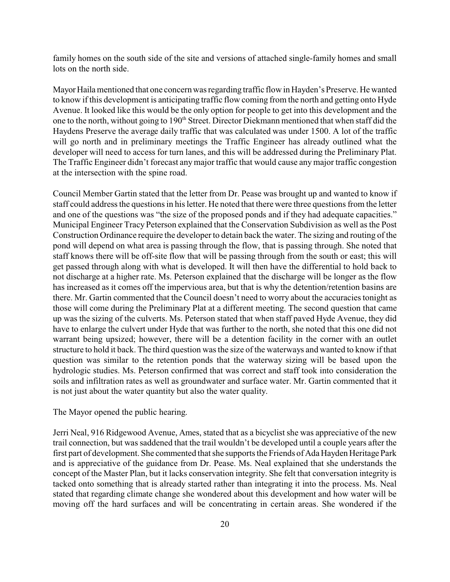family homes on the south side of the site and versions of attached single-family homes and small lots on the north side.

Mayor Haila mentioned that one concern was regarding traffic flow in Hayden's Preserve. He wanted to know if this development is anticipating traffic flow coming from the north and getting onto Hyde Avenue. It looked like this would be the only option for people to get into this development and the one to the north, without going to 190<sup>th</sup> Street. Director Diekmann mentioned that when staff did the Haydens Preserve the average daily traffic that was calculated was under 1500. A lot of the traffic will go north and in preliminary meetings the Traffic Engineer has already outlined what the developer will need to access for turn lanes, and this will be addressed during the Preliminary Plat. The Traffic Engineer didn't forecast anymajor traffic that would cause any major traffic congestion at the intersection with the spine road.

Council Member Gartin stated that the letter from Dr. Pease was brought up and wanted to know if staff could address the questions in his letter. He noted that there were three questions from the letter and one of the questions was "the size of the proposed ponds and if they had adequate capacities." Municipal Engineer Tracy Peterson explained that the Conservation Subdivision as well as the Post Construction Ordinance require the developer to detain back the water. The sizing and routing of the pond will depend on what area is passing through the flow, that is passing through. She noted that staff knows there will be off-site flow that will be passing through from the south or east; this will get passed through along with what is developed. It will then have the differential to hold back to not discharge at a higher rate. Ms. Peterson explained that the discharge will be longer as the flow has increased as it comes off the impervious area, but that is why the detention/retention basins are there. Mr. Gartin commented that the Council doesn't need to worry about the accuracies tonight as those will come during the Preliminary Plat at a different meeting. The second question that came up was the sizing of the culverts. Ms. Peterson stated that when staff paved Hyde Avenue, they did have to enlarge the culvert under Hyde that was further to the north, she noted that this one did not warrant being upsized; however, there will be a detention facility in the corner with an outlet structure to hold it back. The third question was the size of the waterways and wanted to know if that question was similar to the retention ponds that the waterway sizing will be based upon the hydrologic studies. Ms. Peterson confirmed that was correct and staff took into consideration the soils and infiltration rates as well as groundwater and surface water. Mr. Gartin commented that it is not just about the water quantity but also the water quality.

#### The Mayor opened the public hearing.

Jerri Neal, 916 Ridgewood Avenue, Ames, stated that as a bicyclist she was appreciative of the new trail connection, but was saddened that the trail wouldn't be developed until a couple years after the first part of development. She commented that she supports the Friends of Ada Hayden Heritage Park and is appreciative of the guidance from Dr. Pease. Ms. Neal explained that she understands the concept of the Master Plan, but it lacks conservation integrity. She felt that conversation integrity is tacked onto something that is already started rather than integrating it into the process. Ms. Neal stated that regarding climate change she wondered about this development and how water will be moving off the hard surfaces and will be concentrating in certain areas. She wondered if the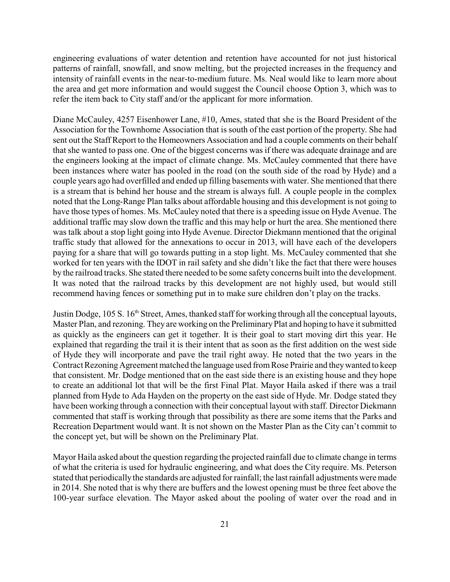engineering evaluations of water detention and retention have accounted for not just historical patterns of rainfall, snowfall, and snow melting, but the projected increases in the frequency and intensity of rainfall events in the near-to-medium future. Ms. Neal would like to learn more about the area and get more information and would suggest the Council choose Option 3, which was to refer the item back to City staff and/or the applicant for more information.

Diane McCauley, 4257 Eisenhower Lane, #10, Ames, stated that she is the Board President of the Association for the Townhome Association that is south of the east portion of the property. She had sent out the Staff Report to the Homeowners Association and had a couple comments on their behalf that she wanted to pass one. One of the biggest concerns was if there was adequate drainage and are the engineers looking at the impact of climate change. Ms. McCauley commented that there have been instances where water has pooled in the road (on the south side of the road by Hyde) and a couple years ago had overfilled and ended up filling basements with water. She mentioned that there is a stream that is behind her house and the stream is always full. A couple people in the complex noted that the Long-Range Plan talks about affordable housing and this development is not going to have those types of homes. Ms. McCauley noted that there is a speeding issue on Hyde Avenue. The additional traffic may slow down the traffic and this may help or hurt the area. She mentioned there was talk about a stop light going into Hyde Avenue. Director Diekmann mentioned that the original traffic study that allowed for the annexations to occur in 2013, will have each of the developers paying for a share that will go towards putting in a stop light. Ms. McCauley commented that she worked for ten years with the IDOT in rail safety and she didn't like the fact that there were houses by the railroad tracks. She stated there needed to be some safety concerns built into the development. It was noted that the railroad tracks by this development are not highly used, but would still recommend having fences or something put in to make sure children don't play on the tracks.

Justin Dodge, 105 S. 16<sup>th</sup> Street, Ames, thanked staff for working through all the conceptual layouts, Master Plan, and rezoning. They are working on the Preliminary Plat and hoping to have it submitted as quickly as the engineers can get it together. It is their goal to start moving dirt this year. He explained that regarding the trail it is their intent that as soon as the first addition on the west side of Hyde they will incorporate and pave the trail right away. He noted that the two years in the Contract Rezoning Agreement matched the language used from Rose Prairie and they wanted to keep that consistent. Mr. Dodge mentioned that on the east side there is an existing house and they hope to create an additional lot that will be the first Final Plat. Mayor Haila asked if there was a trail planned from Hyde to Ada Hayden on the property on the east side of Hyde. Mr. Dodge stated they have been working through a connection with their conceptual layout with staff. Director Diekmann commented that staff is working through that possibility as there are some items that the Parks and Recreation Department would want. It is not shown on the Master Plan as the City can't commit to the concept yet, but will be shown on the Preliminary Plat.

Mayor Haila asked about the question regarding the projected rainfall due to climate change in terms of what the criteria is used for hydraulic engineering, and what does the City require. Ms. Peterson stated that periodicallythe standards are adjusted for rainfall; the last rainfall adjustments were made in 2014. She noted that is why there are buffers and the lowest opening must be three feet above the 100-year surface elevation. The Mayor asked about the pooling of water over the road and in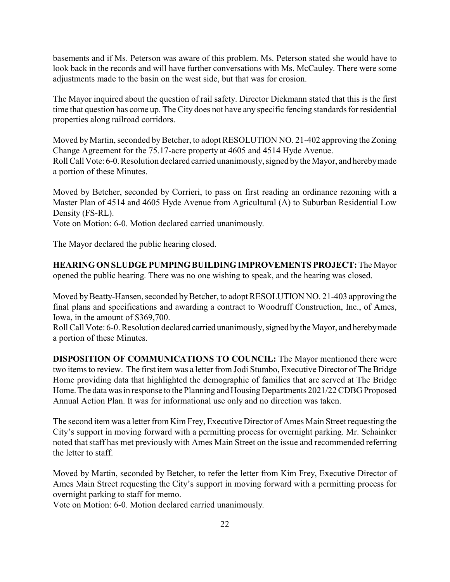basements and if Ms. Peterson was aware of this problem. Ms. Peterson stated she would have to look back in the records and will have further conversations with Ms. McCauley. There were some adjustments made to the basin on the west side, but that was for erosion.

The Mayor inquired about the question of rail safety. Director Diekmann stated that this is the first time that question has come up. The City does not have any specific fencing standards for residential properties along railroad corridors.

Moved by Martin, seconded by Betcher, to adopt RESOLUTION NO. 21-402 approving the Zoning Change Agreement for the 75.17-acre property at 4605 and 4514 Hyde Avenue. Roll CallVote: 6-0.Resolution declared carried unanimously, signed bythe Mayor, and herebymade a portion of these Minutes.

Moved by Betcher, seconded by Corrieri, to pass on first reading an ordinance rezoning with a Master Plan of 4514 and 4605 Hyde Avenue from Agricultural (A) to Suburban Residential Low Density (FS-RL).

Vote on Motion: 6-0. Motion declared carried unanimously.

The Mayor declared the public hearing closed.

**HEARINGON SLUDGE PUMPINGBUILDINGIMPROVEMENTS PROJECT:** The Mayor opened the public hearing. There was no one wishing to speak, and the hearing was closed.

Moved by Beatty-Hansen, seconded by Betcher, to adopt RESOLUTION NO. 21-403 approving the final plans and specifications and awarding a contract to Woodruff Construction, Inc., of Ames, Iowa, in the amount of \$369,700.

Roll Call Vote: 6-0. Resolution declared carried unanimously, signed bythe Mayor, and herebymade a portion of these Minutes.

**DISPOSITION OF COMMUNICATIONS TO COUNCIL:** The Mayor mentioned there were two items to review. The first item was a letter from Jodi Stumbo, Executive Director of The Bridge Home providing data that highlighted the demographic of families that are served at The Bridge Home. The data was in response to the Planning and Housing Departments 2021/22 CDBG Proposed Annual Action Plan. It was for informational use only and no direction was taken.

The second item was a letter from Kim Frey, Executive Director of Ames Main Street requesting the City's support in moving forward with a permitting process for overnight parking. Mr. Schainker noted that staff has met previously with Ames Main Street on the issue and recommended referring the letter to staff.

Moved by Martin, seconded by Betcher, to refer the letter from Kim Frey, Executive Director of Ames Main Street requesting the City's support in moving forward with a permitting process for overnight parking to staff for memo.

Vote on Motion: 6-0. Motion declared carried unanimously.